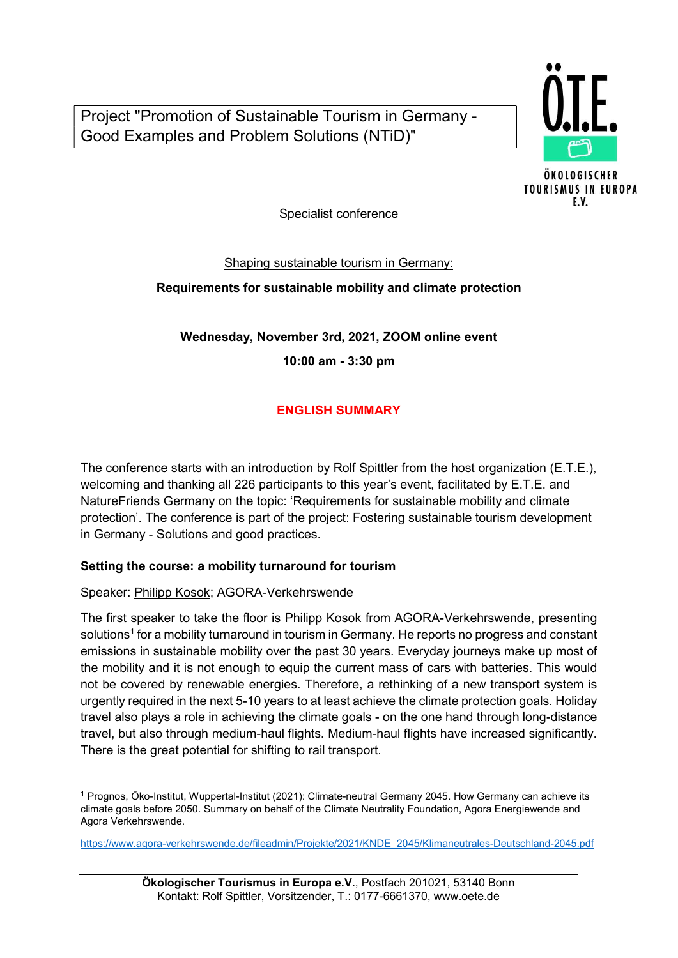Project "Promotion of Sustainable Tourism in Germany - Good Examples and Problem Solutions (NTiD)"



Specialist conference

Shaping sustainable tourism in Germany:

Requirements for sustainable mobility and climate protection

Wednesday, November 3rd, 2021, ZOOM online event

10:00 am - 3:30 pm

# ENGLISH SUMMARY

The conference starts with an introduction by Rolf Spittler from the host organization (E.T.E.), welcoming and thanking all 226 participants to this year's event, facilitated by E.T.E. and NatureFriends Germany on the topic: 'Requirements for sustainable mobility and climate protection'. The conference is part of the project: Fostering sustainable tourism development in Germany - Solutions and good practices.

# Setting the course: a mobility turnaround for tourism

# Speaker: Philipp Kosok; AGORA-Verkehrswende

The first speaker to take the floor is Philipp Kosok from AGORA-Verkehrswende, presenting solutions<sup>1</sup> for a mobility turnaround in tourism in Germany. He reports no progress and constant emissions in sustainable mobility over the past 30 years. Everyday journeys make up most of the mobility and it is not enough to equip the current mass of cars with batteries. This would not be covered by renewable energies. Therefore, a rethinking of a new transport system is urgently required in the next 5-10 years to at least achieve the climate protection goals. Holiday travel also plays a role in achieving the climate goals - on the one hand through long-distance travel, but also through medium-haul flights. Medium-haul flights have increased significantly. There is the great potential for shifting to rail transport.

<sup>-</sup>1 Prognos, Öko-Institut, Wuppertal-Institut (2021): Climate-neutral Germany 2045. How Germany can achieve its climate goals before 2050. Summary on behalf of the Climate Neutrality Foundation, Agora Energiewende and Agora Verkehrswende.

https://www.agora-verkehrswende.de/fileadmin/Projekte/2021/KNDE\_2045/Klimaneutrales-Deutschland-2045.pdf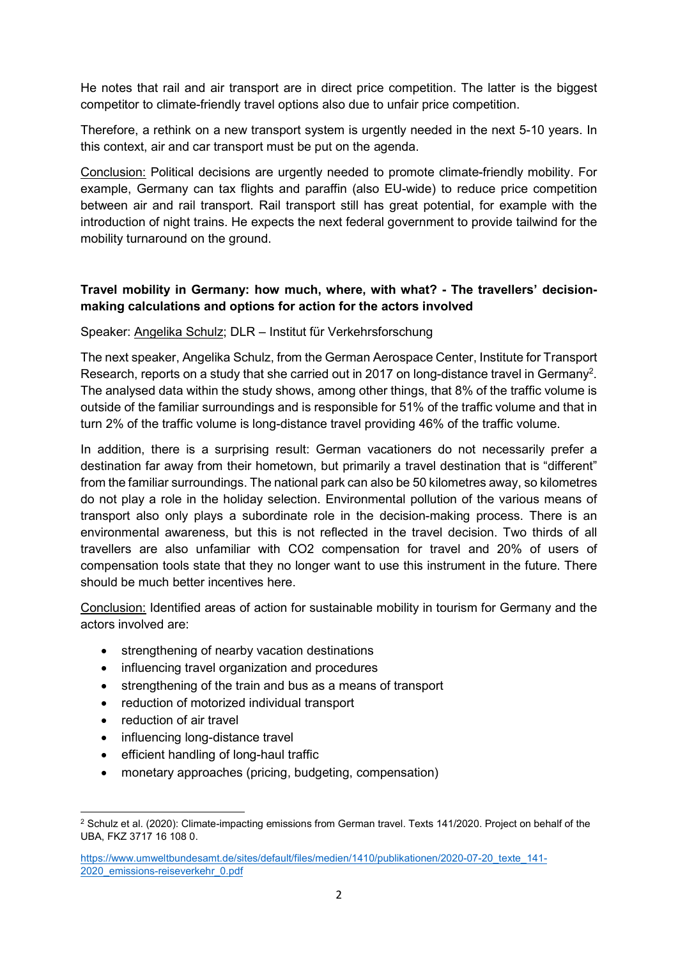He notes that rail and air transport are in direct price competition. The latter is the biggest competitor to climate-friendly travel options also due to unfair price competition.

Therefore, a rethink on a new transport system is urgently needed in the next 5-10 years. In this context, air and car transport must be put on the agenda.

Conclusion: Political decisions are urgently needed to promote climate-friendly mobility. For example, Germany can tax flights and paraffin (also EU-wide) to reduce price competition between air and rail transport. Rail transport still has great potential, for example with the introduction of night trains. He expects the next federal government to provide tailwind for the mobility turnaround on the ground.

## Travel mobility in Germany: how much, where, with what? - The travellers' decisionmaking calculations and options for action for the actors involved

#### Speaker: Angelika Schulz; DLR – Institut für Verkehrsforschung

The next speaker, Angelika Schulz, from the German Aerospace Center, Institute for Transport Research, reports on a study that she carried out in 2017 on long-distance travel in Germany<sup>2</sup>. The analysed data within the study shows, among other things, that 8% of the traffic volume is outside of the familiar surroundings and is responsible for 51% of the traffic volume and that in turn 2% of the traffic volume is long-distance travel providing 46% of the traffic volume.

In addition, there is a surprising result: German vacationers do not necessarily prefer a destination far away from their hometown, but primarily a travel destination that is "different" from the familiar surroundings. The national park can also be 50 kilometres away, so kilometres do not play a role in the holiday selection. Environmental pollution of the various means of transport also only plays a subordinate role in the decision-making process. There is an environmental awareness, but this is not reflected in the travel decision. Two thirds of all travellers are also unfamiliar with CO2 compensation for travel and 20% of users of compensation tools state that they no longer want to use this instrument in the future. There should be much better incentives here.

Conclusion: Identified areas of action for sustainable mobility in tourism for Germany and the actors involved are:

- strengthening of nearby vacation destinations
- influencing travel organization and procedures
- strengthening of the train and bus as a means of transport
- reduction of motorized individual transport
- reduction of air travel
- influencing long-distance travel
- efficient handling of long-haul traffic
- monetary approaches (pricing, budgeting, compensation)

<sup>-</sup> $^2$  Schulz et al. (2020): Climate-impacting emissions from German travel. Texts 141/2020. Project on behalf of the UBA, FKZ 3717 16 108 0.

https://www.umweltbundesamt.de/sites/default/files/medien/1410/publikationen/2020-07-20\_texte\_141-2020\_emissions-reiseverkehr\_0.pdf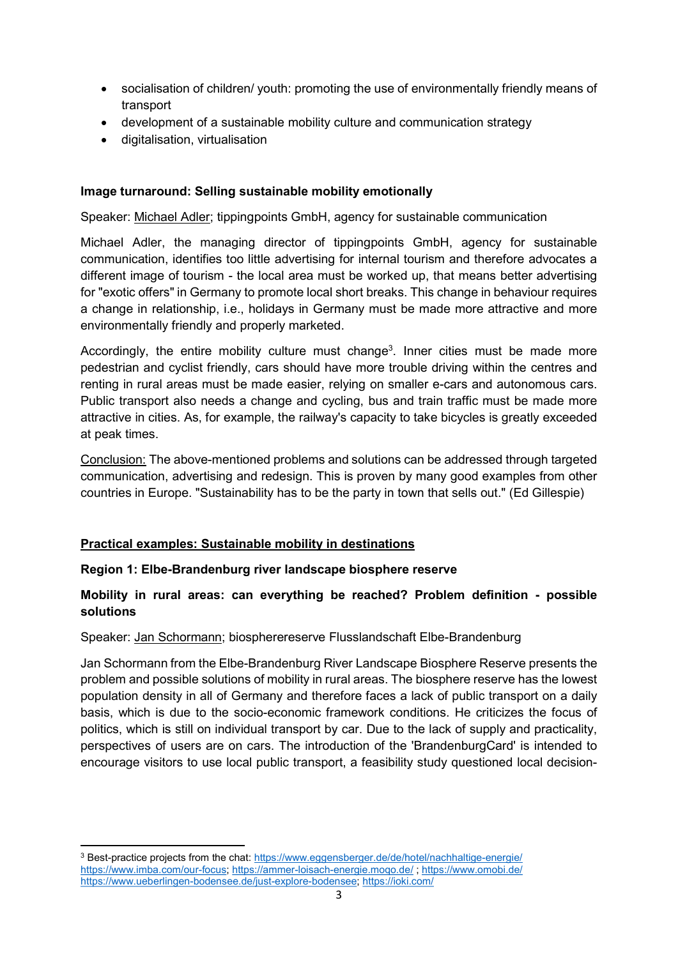- socialisation of children/ youth: promoting the use of environmentally friendly means of transport
- development of a sustainable mobility culture and communication strategy
- digitalisation, virtualisation

## Image turnaround: Selling sustainable mobility emotionally

Speaker: Michael Adler; tippingpoints GmbH, agency for sustainable communication

Michael Adler, the managing director of tippingpoints GmbH, agency for sustainable communication, identifies too little advertising for internal tourism and therefore advocates a different image of tourism - the local area must be worked up, that means better advertising for "exotic offers" in Germany to promote local short breaks. This change in behaviour requires a change in relationship, i.e., holidays in Germany must be made more attractive and more environmentally friendly and properly marketed.

Accordingly, the entire mobility culture must change<sup>3</sup>. Inner cities must be made more pedestrian and cyclist friendly, cars should have more trouble driving within the centres and renting in rural areas must be made easier, relying on smaller e-cars and autonomous cars. Public transport also needs a change and cycling, bus and train traffic must be made more attractive in cities. As, for example, the railway's capacity to take bicycles is greatly exceeded at peak times.

Conclusion: The above-mentioned problems and solutions can be addressed through targeted communication, advertising and redesign. This is proven by many good examples from other countries in Europe. "Sustainability has to be the party in town that sells out." (Ed Gillespie)

## Practical examples: Sustainable mobility in destinations

#### Region 1: Elbe-Brandenburg river landscape biosphere reserve

### Mobility in rural areas: can everything be reached? Problem definition - possible solutions

#### Speaker: Jan Schormann; biospherereserve Flusslandschaft Elbe-Brandenburg

Jan Schormann from the Elbe-Brandenburg River Landscape Biosphere Reserve presents the problem and possible solutions of mobility in rural areas. The biosphere reserve has the lowest population density in all of Germany and therefore faces a lack of public transport on a daily basis, which is due to the socio-economic framework conditions. He criticizes the focus of politics, which is still on individual transport by car. Due to the lack of supply and practicality, perspectives of users are on cars. The introduction of the 'BrandenburgCard' is intended to encourage visitors to use local public transport, a feasibility study questioned local decision-

 $\overline{a}$ 

<sup>&</sup>lt;sup>3</sup> Best-practice projects from the chat: https://www.eggensberger.de/de/hotel/nachhaltige-energie/ https://www.imba.com/our-focus; https://ammer-loisach-energie.moqo.de/ ; https://www.omobi.de/ https://www.ueberlingen-bodensee.de/just-explore-bodensee; https://ioki.com/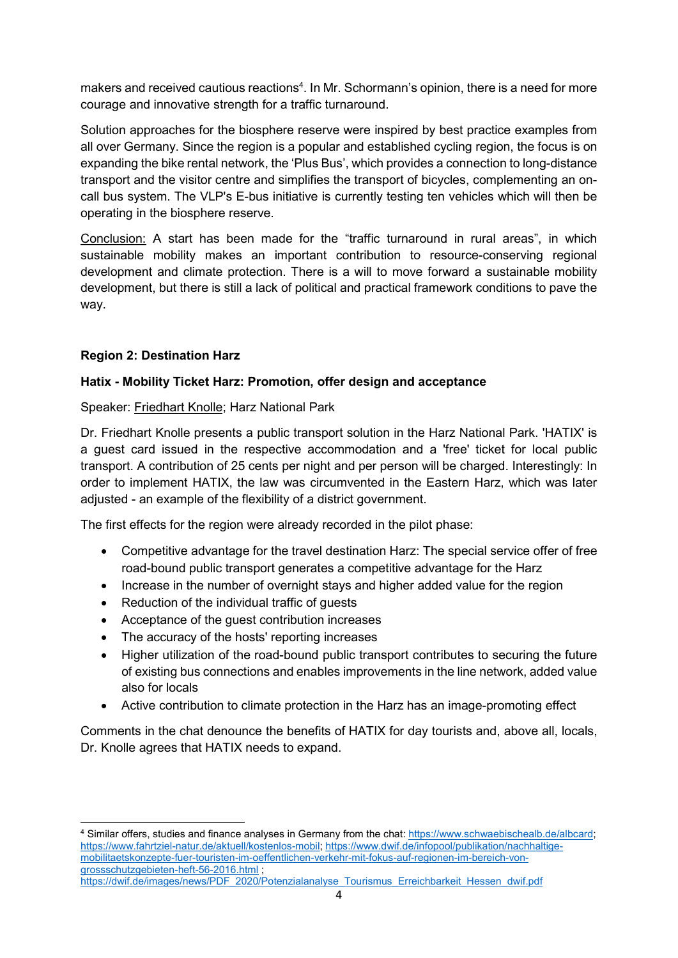makers and received cautious reactions<sup>4</sup>. In Mr. Schormann's opinion, there is a need for more courage and innovative strength for a traffic turnaround.

Solution approaches for the biosphere reserve were inspired by best practice examples from all over Germany. Since the region is a popular and established cycling region, the focus is on expanding the bike rental network, the 'Plus Bus', which provides a connection to long-distance transport and the visitor centre and simplifies the transport of bicycles, complementing an oncall bus system. The VLP's E-bus initiative is currently testing ten vehicles which will then be operating in the biosphere reserve.

Conclusion: A start has been made for the "traffic turnaround in rural areas", in which sustainable mobility makes an important contribution to resource-conserving regional development and climate protection. There is a will to move forward a sustainable mobility development, but there is still a lack of political and practical framework conditions to pave the way.

## Region 2: Destination Harz

## Hatix - Mobility Ticket Harz: Promotion, offer design and acceptance

## Speaker: Friedhart Knolle; Harz National Park

Dr. Friedhart Knolle presents a public transport solution in the Harz National Park. 'HATIX' is a guest card issued in the respective accommodation and a 'free' ticket for local public transport. A contribution of 25 cents per night and per person will be charged. Interestingly: In order to implement HATIX, the law was circumvented in the Eastern Harz, which was later adjusted - an example of the flexibility of a district government.

The first effects for the region were already recorded in the pilot phase:

- Competitive advantage for the travel destination Harz: The special service offer of free road-bound public transport generates a competitive advantage for the Harz
- Increase in the number of overnight stays and higher added value for the region
- Reduction of the individual traffic of guests
- Acceptance of the guest contribution increases
- The accuracy of the hosts' reporting increases
- Higher utilization of the road-bound public transport contributes to securing the future of existing bus connections and enables improvements in the line network, added value also for locals
- Active contribution to climate protection in the Harz has an image-promoting effect

Comments in the chat denounce the benefits of HATIX for day tourists and, above all, locals, Dr. Knolle agrees that HATIX needs to expand.

-4 Similar offers, studies and finance analyses in Germany from the chat: https://www.schwaebischealb.de/albcard; https://www.fahrtziel-natur.de/aktuell/kostenlos-mobil; https://www.dwif.de/infopool/publikation/nachhaltigemobilitaetskonzepte-fuer-touristen-im-oeffentlichen-verkehr-mit-fokus-auf-regionen-im-bereich-vongrossschutzgebieten-heft-56-2016.html ; https://dwif.de/images/news/PDF\_2020/Potenzialanalyse\_Tourismus\_Erreichbarkeit\_Hessen\_dwif.pdf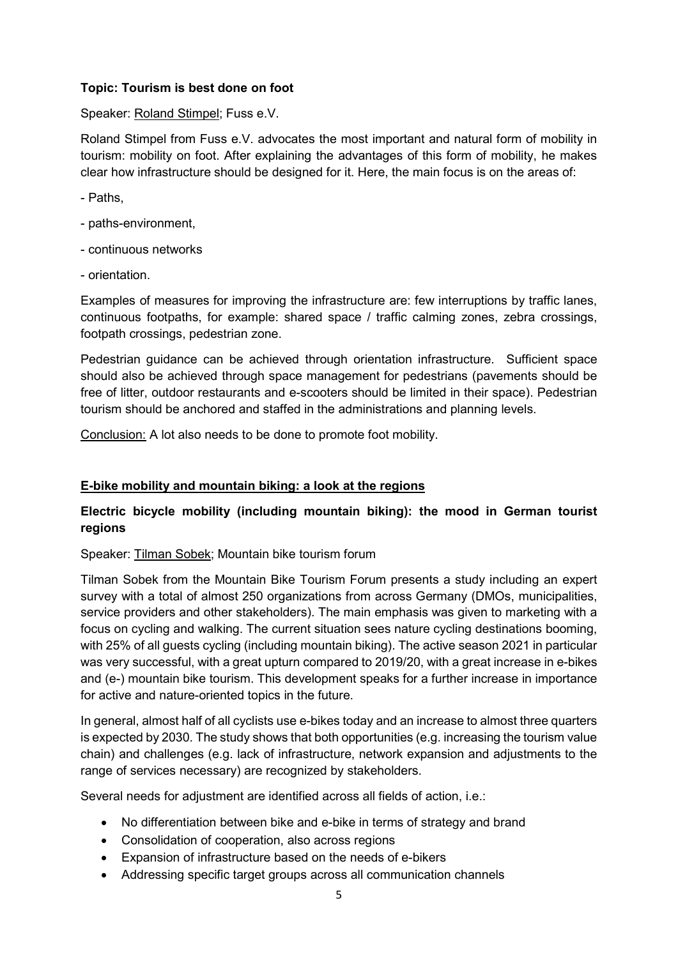### Topic: Tourism is best done on foot

#### Speaker: Roland Stimpel; Fuss e.V.

Roland Stimpel from Fuss e.V. advocates the most important and natural form of mobility in tourism: mobility on foot. After explaining the advantages of this form of mobility, he makes clear how infrastructure should be designed for it. Here, the main focus is on the areas of:

- Paths,
- paths-environment,
- continuous networks
- orientation.

Examples of measures for improving the infrastructure are: few interruptions by traffic lanes, continuous footpaths, for example: shared space / traffic calming zones, zebra crossings, footpath crossings, pedestrian zone.

Pedestrian guidance can be achieved through orientation infrastructure. Sufficient space should also be achieved through space management for pedestrians (pavements should be free of litter, outdoor restaurants and e-scooters should be limited in their space). Pedestrian tourism should be anchored and staffed in the administrations and planning levels.

Conclusion: A lot also needs to be done to promote foot mobility.

### E-bike mobility and mountain biking: a look at the regions

# Electric bicycle mobility (including mountain biking): the mood in German tourist regions

Speaker: Tilman Sobek; Mountain bike tourism forum

Tilman Sobek from the Mountain Bike Tourism Forum presents a study including an expert survey with a total of almost 250 organizations from across Germany (DMOs, municipalities, service providers and other stakeholders). The main emphasis was given to marketing with a focus on cycling and walking. The current situation sees nature cycling destinations booming, with 25% of all guests cycling (including mountain biking). The active season 2021 in particular was very successful, with a great upturn compared to 2019/20, with a great increase in e-bikes and (e-) mountain bike tourism. This development speaks for a further increase in importance for active and nature-oriented topics in the future.

In general, almost half of all cyclists use e-bikes today and an increase to almost three quarters is expected by 2030. The study shows that both opportunities (e.g. increasing the tourism value chain) and challenges (e.g. lack of infrastructure, network expansion and adjustments to the range of services necessary) are recognized by stakeholders.

Several needs for adjustment are identified across all fields of action, i.e.:

- No differentiation between bike and e-bike in terms of strategy and brand
- Consolidation of cooperation, also across regions
- Expansion of infrastructure based on the needs of e-bikers
- Addressing specific target groups across all communication channels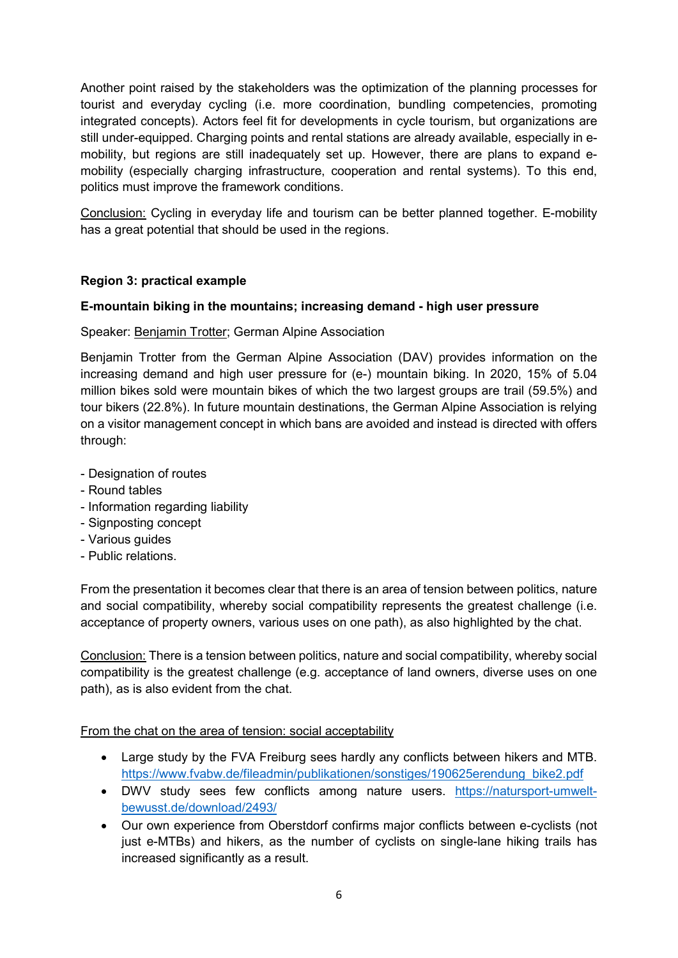Another point raised by the stakeholders was the optimization of the planning processes for tourist and everyday cycling (i.e. more coordination, bundling competencies, promoting integrated concepts). Actors feel fit for developments in cycle tourism, but organizations are still under-equipped. Charging points and rental stations are already available, especially in emobility, but regions are still inadequately set up. However, there are plans to expand emobility (especially charging infrastructure, cooperation and rental systems). To this end, politics must improve the framework conditions.

Conclusion: Cycling in everyday life and tourism can be better planned together. E-mobility has a great potential that should be used in the regions.

### Region 3: practical example

### E-mountain biking in the mountains; increasing demand - high user pressure

#### Speaker: Benjamin Trotter; German Alpine Association

Benjamin Trotter from the German Alpine Association (DAV) provides information on the increasing demand and high user pressure for (e-) mountain biking. In 2020, 15% of 5.04 million bikes sold were mountain bikes of which the two largest groups are trail (59.5%) and tour bikers (22.8%). In future mountain destinations, the German Alpine Association is relying on a visitor management concept in which bans are avoided and instead is directed with offers through:

- Designation of routes
- Round tables
- Information regarding liability
- Signposting concept
- Various guides
- Public relations.

From the presentation it becomes clear that there is an area of tension between politics, nature and social compatibility, whereby social compatibility represents the greatest challenge (i.e. acceptance of property owners, various uses on one path), as also highlighted by the chat.

Conclusion: There is a tension between politics, nature and social compatibility, whereby social compatibility is the greatest challenge (e.g. acceptance of land owners, diverse uses on one path), as is also evident from the chat.

#### From the chat on the area of tension: social acceptability

- Large study by the FVA Freiburg sees hardly any conflicts between hikers and MTB. https://www.fvabw.de/fileadmin/publikationen/sonstiges/190625erendung\_bike2.pdf
- DWV study sees few conflicts among nature users. https://natursport-umweltbewusst.de/download/2493/
- Our own experience from Oberstdorf confirms major conflicts between e-cyclists (not just e-MTBs) and hikers, as the number of cyclists on single-lane hiking trails has increased significantly as a result.